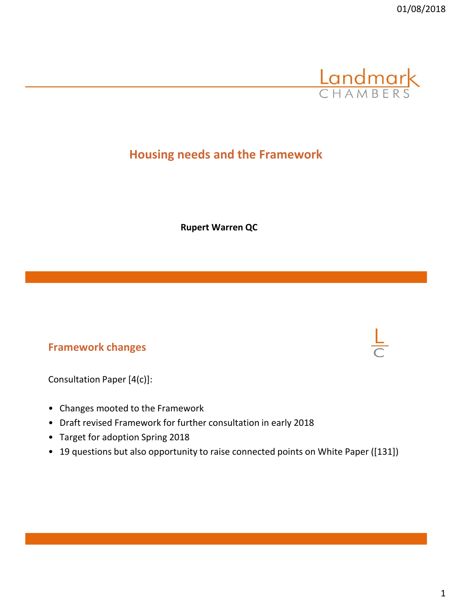

# **Housing needs and the Framework**

**Rupert Warren QC**

#### **Framework changes**

Consultation Paper [4(c)]:

- Changes mooted to the Framework
- Draft revised Framework for further consultation in early 2018
- Target for adoption Spring 2018
- 19 questions but also opportunity to raise connected points on White Paper ([131])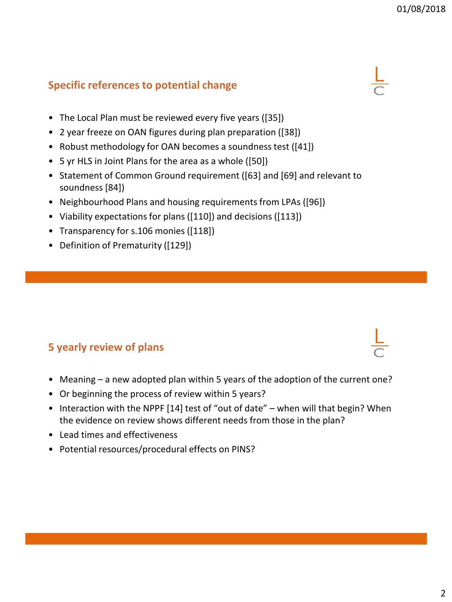## **Specific references to potential change**

- The Local Plan must be reviewed every five years ([35])
- 2 year freeze on OAN figures during plan preparation ([38])
- Robust methodology for OAN becomes a soundness test ([41])
- 5 yr HLS in Joint Plans for the area as a whole ([50])
- Statement of Common Ground requirement ([63] and [69] and relevant to soundness [84])
- Neighbourhood Plans and housing requirements from LPAs ([96])
- Viability expectations for plans ([110]) and decisions ([113])
- Transparency for s.106 monies ([118])
- Definition of Prematurity ([129])

## **5 yearly review of plans**

- Meaning a new adopted plan within 5 years of the adoption of the current one?
- Or beginning the process of review within 5 years?
- Interaction with the NPPF [14] test of "out of date" when will that begin? When the evidence on review shows different needs from those in the plan?
- Lead times and effectiveness
- Potential resources/procedural effects on PINS?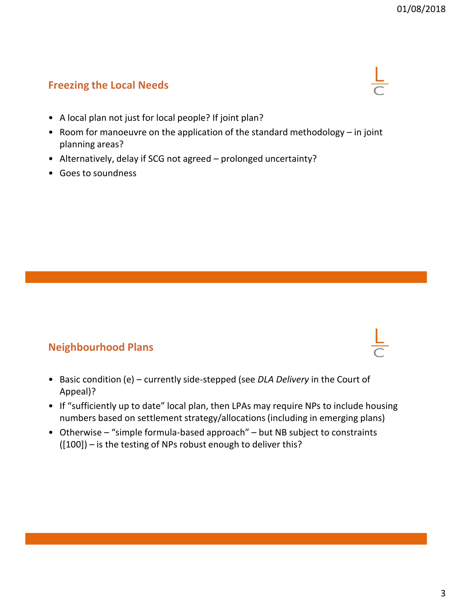### **Freezing the Local Needs**

- A local plan not just for local people? If joint plan?
- Room for manoeuvre on the application of the standard methodology in joint planning areas?
- Alternatively, delay if SCG not agreed prolonged uncertainty?
- Goes to soundness

#### **Neighbourhood Plans**

- Basic condition (e) currently side-stepped (see *DLA Delivery* in the Court of Appeal)?
- If "sufficiently up to date" local plan, then LPAs may require NPs to include housing numbers based on settlement strategy/allocations (including in emerging plans)
- Otherwise "simple formula-based approach" but NB subject to constraints ([100]) – is the testing of NPs robust enough to deliver this?